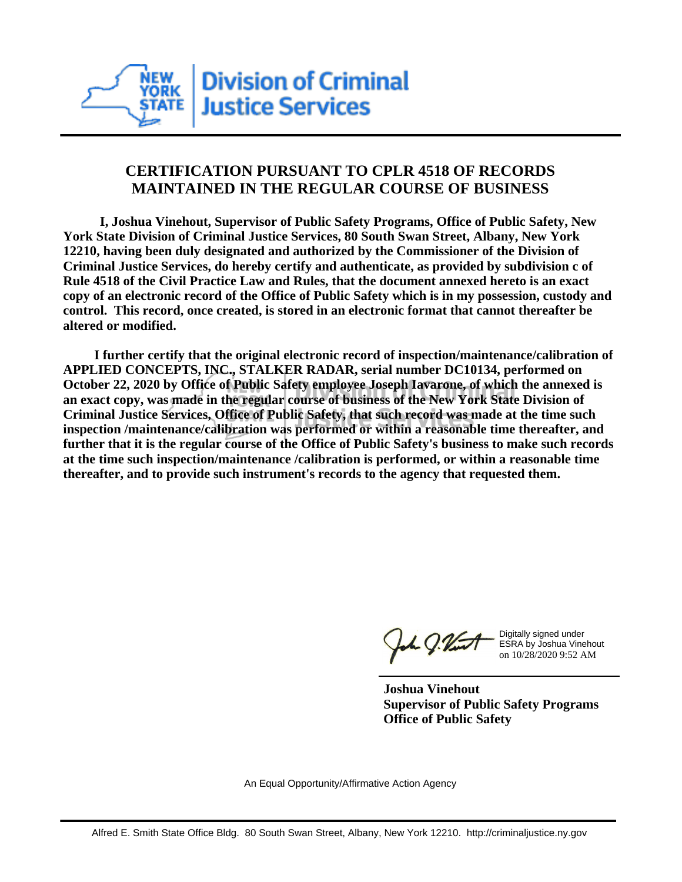

## **CERTIFICATION PURSUANT TO CPLR 4518 OF RECORDS MAINTAINED IN THE REGULAR COURSE OF BUSINESS**

 **I, Joshua Vinehout, Supervisor of Public Safety Programs, Office of Public Safety, New York State Division of Criminal Justice Services, 80 South Swan Street, Albany, New York 12210, having been duly designated and authorized by the Commissioner of the Division of Criminal Justice Services, do hereby certify and authenticate, as provided by subdivision c of Rule 4518 of the Civil Practice Law and Rules, that the document annexed hereto is an exact copy of an electronic record of the Office of Public Safety which is in my possession, custody and control. This record, once created, is stored in an electronic format that cannot thereafter be altered or modified.**

 **I further certify that the original electronic record of inspection/maintenance/calibration of APPLIED CONCEPTS, INC., STALKER RADAR, serial number DC10134, performed on October 22, 2020 by Office of Public Safety employee Joseph Iavarone, of which the annexed is an exact copy, was made in the regular course of business of the New York State Division of Criminal Justice Services, Office of Public Safety, that such record was made at the time such inspection /maintenance/calibration was performed or within a reasonable time thereafter, and further that it is the regular course of the Office of Public Safety's business to make such records at the time such inspection/maintenance /calibration is performed, or within a reasonable time thereafter, and to provide such instrument's records to the agency that requested them.**

the g. Vint

Digitally signed under ESRA by Joshua Vinehout on 10/28/2020 9:52 AM

**Joshua Vinehout Supervisor of Public Safety Programs Office of Public Safety**

An Equal Opportunity/Affirmative Action Agency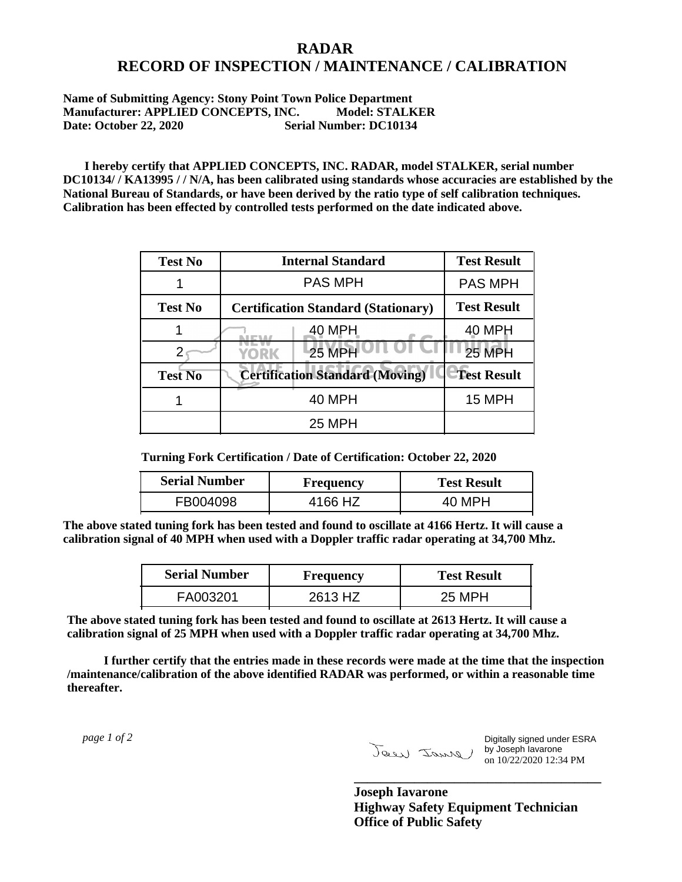## **RADAR RECORD OF INSPECTION / MAINTENANCE / CALIBRATION**

**Name of Submitting Agency: Stony Point Town Police Department Manufacturer: APPLIED CONCEPTS, INC. Model: STALKER Date: October 22, 2020 Serial Number: DC10134**

 **I hereby certify that APPLIED CONCEPTS, INC. RADAR, model STALKER, serial number DC10134/ / KA13995 / / N/A, has been calibrated using standards whose accuracies are established by the National Bureau of Standards, or have been derived by the ratio type of self calibration techniques. Calibration has been effected by controlled tests performed on the date indicated above.**

| <b>Test No</b> | <b>Internal Standard</b>                   | <b>Test Result</b> |
|----------------|--------------------------------------------|--------------------|
|                | <b>PAS MPH</b>                             | <b>PAS MPH</b>     |
| <b>Test No</b> | <b>Certification Standard (Stationary)</b> | <b>Test Result</b> |
|                | 40 MPH                                     | 40 MPH             |
|                | $25$ MPH<br>YORK                           | <b>25 MPH</b>      |
| <b>Test No</b> | <b>Certification Standard (Moving)</b>     | <b>Test Result</b> |
|                | <b>40 MPH</b>                              | <b>15 MPH</b>      |
|                | <b>25 MPH</b>                              |                    |

**Turning Fork Certification / Date of Certification: October 22, 2020**

| <b>Serial Number</b> | Frequency | <b>Test Result</b> |
|----------------------|-----------|--------------------|
| FB004098             | 4166 HZ   | 40 MPH             |

**The above stated tuning fork has been tested and found to oscillate at 4166 Hertz. It will cause a calibration signal of 40 MPH when used with a Doppler traffic radar operating at 34,700 Mhz.**

| <b>Serial Number</b> | Frequency | <b>Test Result</b> |
|----------------------|-----------|--------------------|
| FA003201             | 2613 HZ   | 25 MPH             |

**The above stated tuning fork has been tested and found to oscillate at 2613 Hertz. It will cause a calibration signal of 25 MPH when used with a Doppler traffic radar operating at 34,700 Mhz.**

 **I further certify that the entries made in these records were made at the time that the inspection /maintenance/calibration of the above identified RADAR was performed, or within a reasonable time thereafter.**

 *page 1 of 2* 

Digitally signed under ESRA by Joseph Iavarone on 10/22/2020 12:34 PM

**Joseph Iavarone Highway Safety Equipment Technician Office of Public Safety**

**\_\_\_\_\_\_\_\_\_\_\_\_\_\_\_\_\_\_\_\_\_\_\_\_\_\_\_\_\_\_\_\_\_\_\_\_\_**